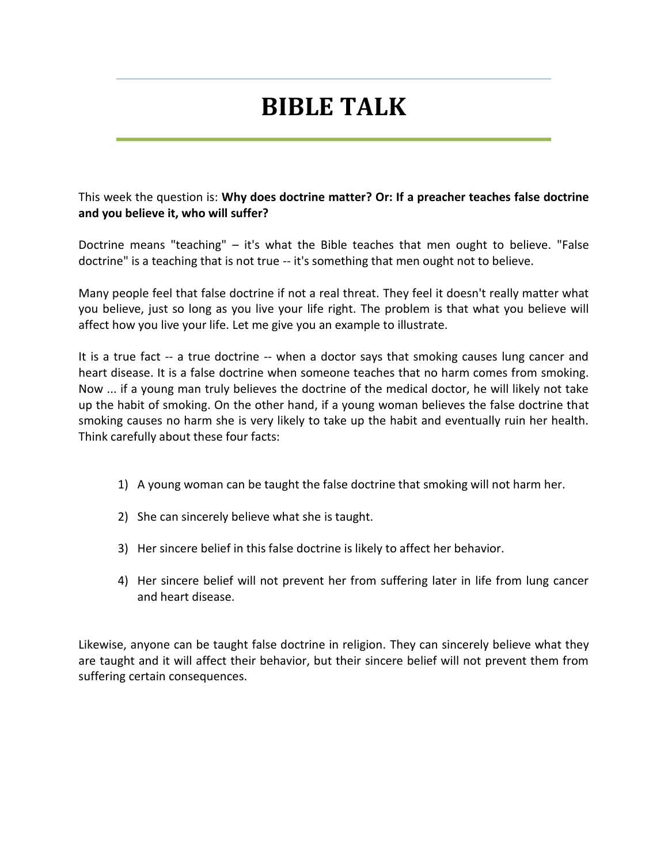# **BIBLE TALK**

This week the question is: **Why does doctrine matter? Or: If a preacher teaches false doctrine and you believe it, who will suffer?**

Doctrine means "teaching" – it's what the Bible teaches that men ought to believe. "False doctrine" is a teaching that is not true -- it's something that men ought not to believe.

Many people feel that false doctrine if not a real threat. They feel it doesn't really matter what you believe, just so long as you live your life right. The problem is that what you believe will affect how you live your life. Let me give you an example to illustrate.

It is a true fact -- a true doctrine -- when a doctor says that smoking causes lung cancer and heart disease. It is a false doctrine when someone teaches that no harm comes from smoking. Now ... if a young man truly believes the doctrine of the medical doctor, he will likely not take up the habit of smoking. On the other hand, if a young woman believes the false doctrine that smoking causes no harm she is very likely to take up the habit and eventually ruin her health. Think carefully about these four facts:

- 1) A young woman can be taught the false doctrine that smoking will not harm her.
- 2) She can sincerely believe what she is taught.
- 3) Her sincere belief in this false doctrine is likely to affect her behavior.
- 4) Her sincere belief will not prevent her from suffering later in life from lung cancer and heart disease.

Likewise, anyone can be taught false doctrine in religion. They can sincerely believe what they are taught and it will affect their behavior, but their sincere belief will not prevent them from suffering certain consequences.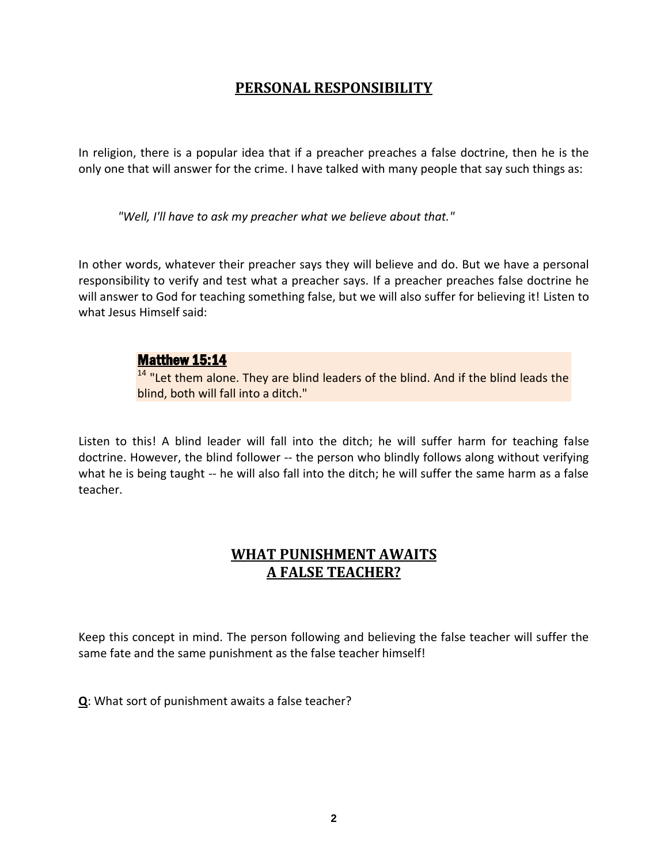## **PERSONAL RESPONSIBILITY**

In religion, there is a popular idea that if a preacher preaches a false doctrine, then he is the only one that will answer for the crime. I have talked with many people that say such things as:

*"Well, I'll have to ask my preacher what we believe about that."*

In other words, whatever their preacher says they will believe and do. But we have a personal responsibility to verify and test what a preacher says. If a preacher preaches false doctrine he will answer to God for teaching something false, but we will also suffer for believing it! Listen to what Jesus Himself said:

#### Matthew 15:14

<sup>14</sup> "Let them alone. They are blind leaders of the blind. And if the blind leads the blind, both will fall into a ditch."

Listen to this! A blind leader will fall into the ditch; he will suffer harm for teaching false doctrine. However, the blind follower -- the person who blindly follows along without verifying what he is being taught -- he will also fall into the ditch; he will suffer the same harm as a false teacher.

## **WHAT PUNISHMENT AWAITS A FALSE TEACHER?**

Keep this concept in mind. The person following and believing the false teacher will suffer the same fate and the same punishment as the false teacher himself!

**Q**: What sort of punishment awaits a false teacher?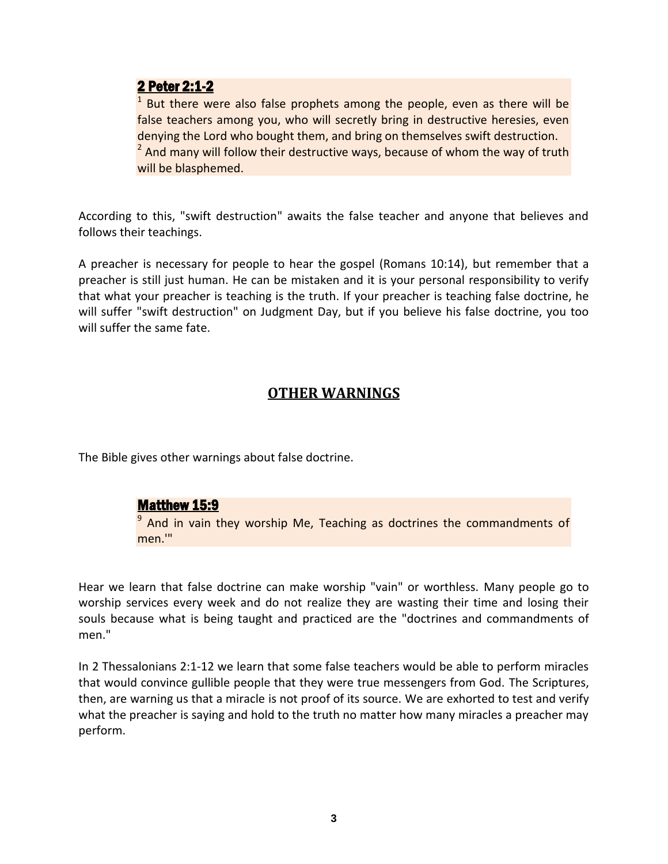#### 2 Peter 2:1-2

1 But there were also false prophets among the people, even as there will be false teachers among you, who will secretly bring in destructive heresies, even denying the Lord who bought them, and bring on themselves swift destruction. <sup>2</sup> And many will follow their destructive ways, because of whom the way of truth will be blasphemed.

According to this, "swift destruction" awaits the false teacher and anyone that believes and follows their teachings.

A preacher is necessary for people to hear the gospel (Romans 10:14), but remember that a preacher is still just human. He can be mistaken and it is your personal responsibility to verify that what your preacher is teaching is the truth. If your preacher is teaching false doctrine, he will suffer "swift destruction" on Judgment Day, but if you believe his false doctrine, you too will suffer the same fate.

# **OTHER WARNINGS**

The Bible gives other warnings about false doctrine.

#### Matthew 15:9

<sup>9</sup> And in vain they worship Me, Teaching as doctrines the commandments of men.'"

Hear we learn that false doctrine can make worship "vain" or worthless. Many people go to worship services every week and do not realize they are wasting their time and losing their souls because what is being taught and practiced are the "doctrines and commandments of men."

In 2 Thessalonians 2:1-12 we learn that some false teachers would be able to perform miracles that would convince gullible people that they were true messengers from God. The Scriptures, then, are warning us that a miracle is not proof of its source. We are exhorted to test and verify what the preacher is saying and hold to the truth no matter how many miracles a preacher may perform.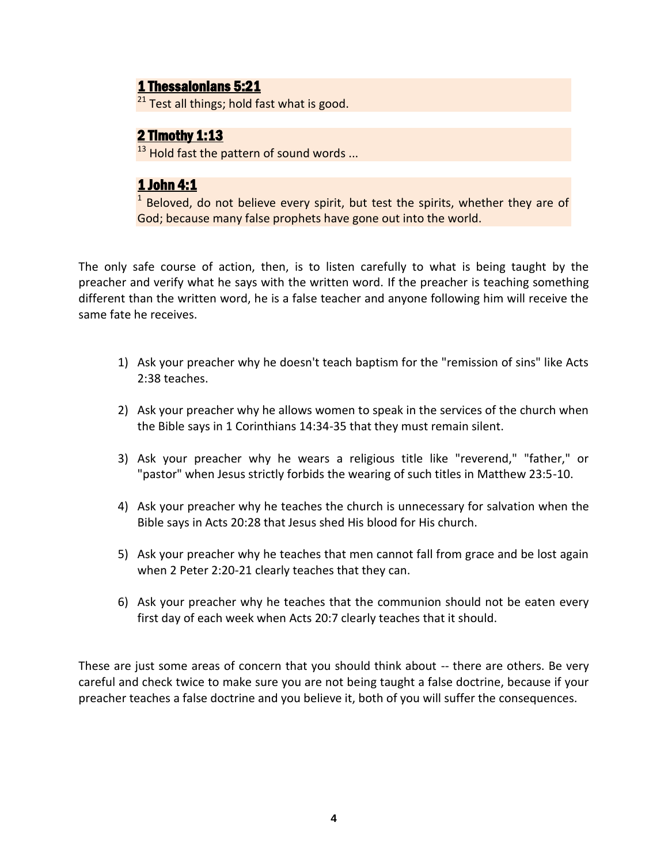## 1 Thessalonians 5:21

 $21$  Test all things; hold fast what is good.

# 2 Timothy 1:13

 $13$  Hold fast the pattern of sound words ...

# 1 John 4:1

1 Beloved, do not believe every spirit, but test the spirits, whether they are of God; because many false prophets have gone out into the world.

The only safe course of action, then, is to listen carefully to what is being taught by the preacher and verify what he says with the written word. If the preacher is teaching something different than the written word, he is a false teacher and anyone following him will receive the same fate he receives.

- 1) Ask your preacher why he doesn't teach baptism for the "remission of sins" like Acts 2:38 teaches.
- 2) Ask your preacher why he allows women to speak in the services of the church when the Bible says in 1 Corinthians 14:34-35 that they must remain silent.
- 3) Ask your preacher why he wears a religious title like "reverend," "father," or "pastor" when Jesus strictly forbids the wearing of such titles in Matthew 23:5-10.
- 4) Ask your preacher why he teaches the church is unnecessary for salvation when the Bible says in Acts 20:28 that Jesus shed His blood for His church.
- 5) Ask your preacher why he teaches that men cannot fall from grace and be lost again when 2 Peter 2:20-21 clearly teaches that they can.
- 6) Ask your preacher why he teaches that the communion should not be eaten every first day of each week when Acts 20:7 clearly teaches that it should.

These are just some areas of concern that you should think about -- there are others. Be very careful and check twice to make sure you are not being taught a false doctrine, because if your preacher teaches a false doctrine and you believe it, both of you will suffer the consequences.